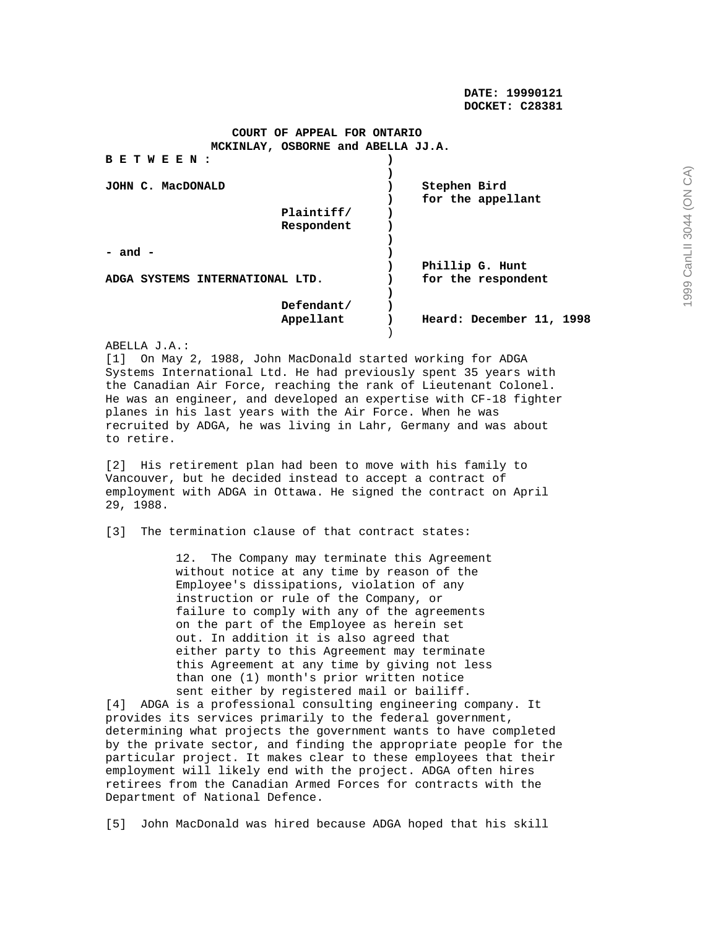**DATE: 19990121 DOCKET: C28381** 

## **COURT OF APPEAL FOR ONTARIO MCKINLAY, OSBORNE and ABELLA JJ.A.**

| BETWEEN                         |            |                          |
|---------------------------------|------------|--------------------------|
|                                 |            |                          |
| JOHN C. MacDONALD               |            | Stephen Bird             |
|                                 |            | for the appellant        |
|                                 | Plaintiff/ |                          |
|                                 | Respondent |                          |
|                                 |            |                          |
| $-$ and $-$                     |            |                          |
|                                 |            | Phillip G. Hunt          |
| ADGA SYSTEMS INTERNATIONAL LTD. |            | for the respondent       |
|                                 |            |                          |
|                                 | Defendant/ |                          |
|                                 | Appellant  | Heard: December 11, 1998 |
|                                 |            |                          |

ABELLA J.A.:

[1] On May 2, 1988, John MacDonald started working for ADGA Systems International Ltd. He had previously spent 35 years with the Canadian Air Force, reaching the rank of Lieutenant Colonel. He was an engineer, and developed an expertise with CF-18 fighter planes in his last years with the Air Force. When he was recruited by ADGA, he was living in Lahr, Germany and was about to retire.

[2] His retirement plan had been to move with his family to Vancouver, but he decided instead to accept a contract of employment with ADGA in Ottawa. He signed the contract on April 29, 1988.

[3] The termination clause of that contract states:

 12. The Company may terminate this Agreement without notice at any time by reason of the Employee's dissipations, violation of any instruction or rule of the Company, or failure to comply with any of the agreements on the part of the Employee as herein set out. In addition it is also agreed that either party to this Agreement may terminate this Agreement at any time by giving not less than one (1) month's prior written notice sent either by registered mail or bailiff.

[4] ADGA is a professional consulting engineering company. It provides its services primarily to the federal government, determining what projects the government wants to have completed by the private sector, and finding the appropriate people for the particular project. It makes clear to these employees that their employment will likely end with the project. ADGA often hires retirees from the Canadian Armed Forces for contracts with the Department of National Defence.

[5] John MacDonald was hired because ADGA hoped that his skill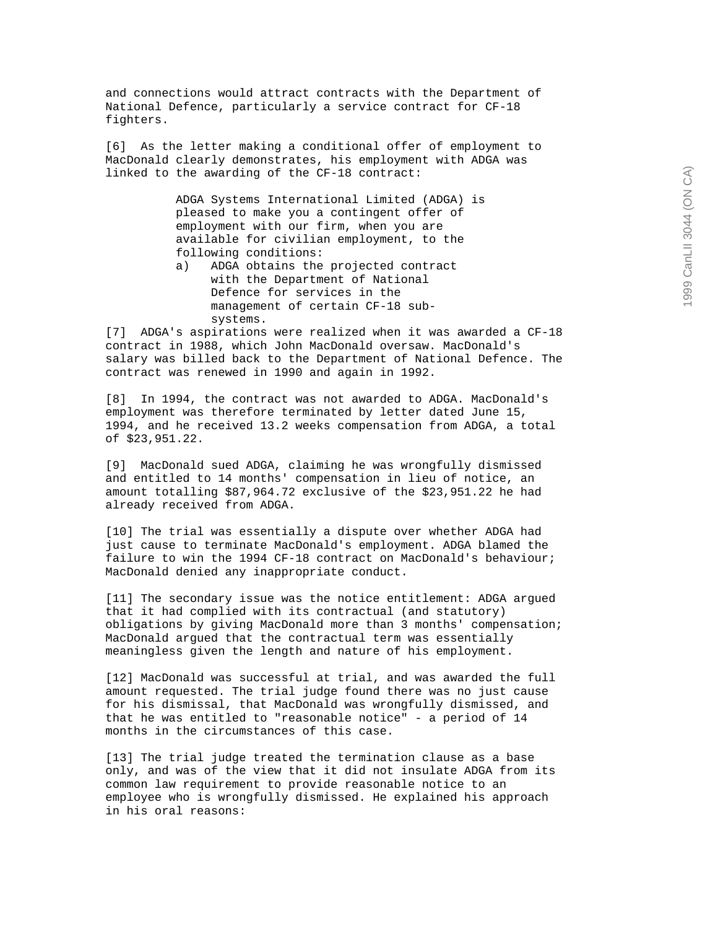and connections would attract contracts with the Department of National Defence, particularly a service contract for CF-18 fighters.

[6] As the letter making a conditional offer of employment to MacDonald clearly demonstrates, his employment with ADGA was linked to the awarding of the CF-18 contract:

> ADGA Systems International Limited (ADGA) is pleased to make you a contingent offer of employment with our firm, when you are available for civilian employment, to the following conditions:

 a) ADGA obtains the projected contract with the Department of National Defence for services in the management of certain CF-18 sub systems.

[7] ADGA's aspirations were realized when it was awarded a CF-18 contract in 1988, which John MacDonald oversaw. MacDonald's salary was billed back to the Department of National Defence. The contract was renewed in 1990 and again in 1992.

[8] In 1994, the contract was not awarded to ADGA. MacDonald's employment was therefore terminated by letter dated June 15, 1994, and he received 13.2 weeks compensation from ADGA, a total of \$23,951.22.

[9] MacDonald sued ADGA, claiming he was wrongfully dismissed and entitled to 14 months' compensation in lieu of notice, an amount totalling \$87,964.72 exclusive of the \$23,951.22 he had already received from ADGA.

[10] The trial was essentially a dispute over whether ADGA had just cause to terminate MacDonald's employment. ADGA blamed the failure to win the 1994 CF-18 contract on MacDonald's behaviour; MacDonald denied any inappropriate conduct.

[11] The secondary issue was the notice entitlement: ADGA argued that it had complied with its contractual (and statutory) obligations by giving MacDonald more than 3 months' compensation; MacDonald argued that the contractual term was essentially meaningless given the length and nature of his employment.

[12] MacDonald was successful at trial, and was awarded the full amount requested. The trial judge found there was no just cause for his dismissal, that MacDonald was wrongfully dismissed, and that he was entitled to "reasonable notice" - a period of 14 months in the circumstances of this case.

[13] The trial judge treated the termination clause as a base only, and was of the view that it did not insulate ADGA from its common law requirement to provide reasonable notice to an employee who is wrongfully dismissed. He explained his approach in his oral reasons: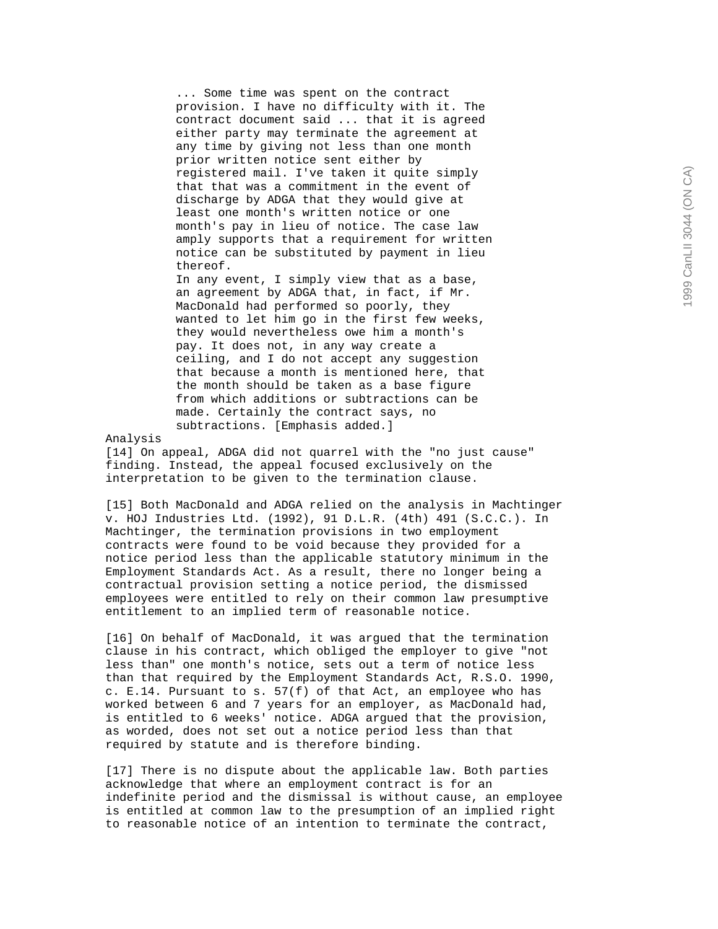... Some time was spent on the contract provision. I have no difficulty with it. The contract document said ... that it is agreed either party may terminate the agreement at any time by giving not less than one month prior written notice sent either by registered mail. I've taken it quite simply that that was a commitment in the event of discharge by ADGA that they would give at least one month's written notice or one month's pay in lieu of notice. The case law amply supports that a requirement for written notice can be substituted by payment in lieu thereof.

 In any event, I simply view that as a base, an agreement by ADGA that, in fact, if Mr. MacDonald had performed so poorly, they wanted to let him go in the first few weeks, they would nevertheless owe him a month's pay. It does not, in any way create a ceiling, and I do not accept any suggestion that because a month is mentioned here, that the month should be taken as a base figure from which additions or subtractions can be made. Certainly the contract says, no subtractions. [Emphasis added.]

Analysis

[14] On appeal, ADGA did not quarrel with the "no just cause" finding. Instead, the appeal focused exclusively on the interpretation to be given to the termination clause.

[15] Both MacDonald and ADGA relied on the analysis in Machtinger v. HOJ Industries Ltd. (1992), 91 D.L.R. (4th) 491 (S.C.C.). In Machtinger, the termination provisions in two employment contracts were found to be void because they provided for a notice period less than the applicable statutory minimum in the Employment Standards Act. As a result, there no longer being a contractual provision setting a notice period, the dismissed employees were entitled to rely on their common law presumptive entitlement to an implied term of reasonable notice.

[16] On behalf of MacDonald, it was argued that the termination clause in his contract, which obliged the employer to give "not less than" one month's notice, sets out a term of notice less than that required by the Employment Standards Act, R.S.O. 1990, c. E.14. Pursuant to s.  $57(f)$  of that Act, an employee who has worked between 6 and 7 years for an employer, as MacDonald had, is entitled to 6 weeks' notice. ADGA argued that the provision, as worded, does not set out a notice period less than that required by statute and is therefore binding.

[17] There is no dispute about the applicable law. Both parties acknowledge that where an employment contract is for an indefinite period and the dismissal is without cause, an employee is entitled at common law to the presumption of an implied right to reasonable notice of an intention to terminate the contract,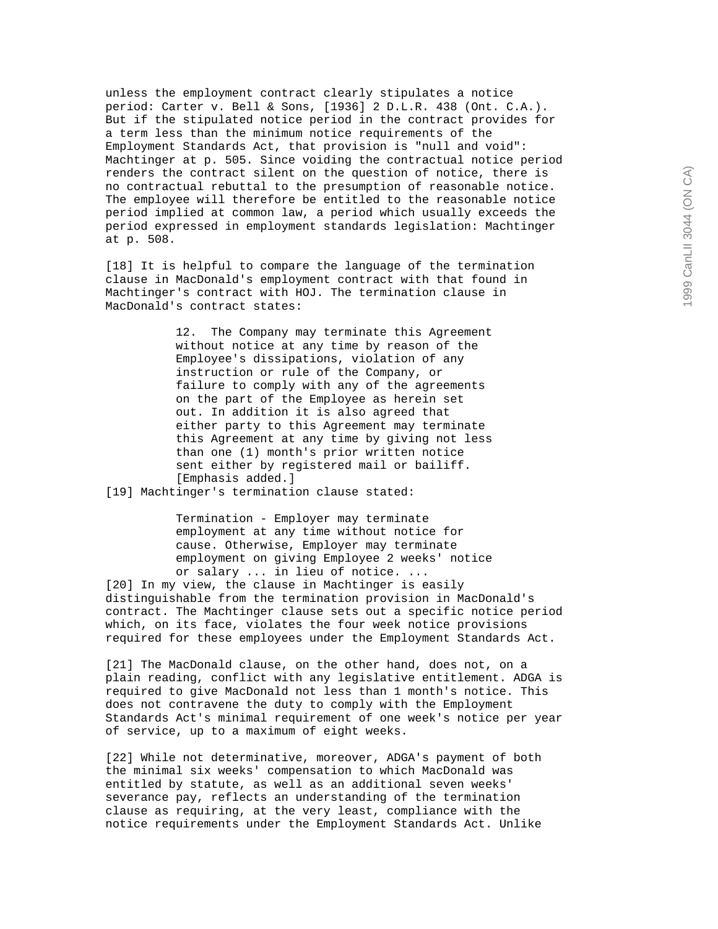unless the employment contract clearly stipulates a notice period: Carter v. Bell & Sons, [1936] 2 D.L.R. 438 (Ont. C.A.). But if the stipulated notice period in the contract provides for a term less than the minimum notice requirements of the Employment Standards Act, that provision is "null and void": Machtinger at p. 505. Since voiding the contractual notice period renders the contract silent on the question of notice, there is no contractual rebuttal to the presumption of reasonable notice. The employee will therefore be entitled to the reasonable notice period implied at common law, a period which usually exceeds the period expressed in employment standards legislation: Machtinger at p. 508.

[18] It is helpful to compare the language of the termination clause in MacDonald's employment contract with that found in Machtinger's contract with HOJ. The termination clause in MacDonald's contract states:

> 12. The Company may terminate this Agreement without notice at any time by reason of the Employee's dissipations, violation of any instruction or rule of the Company, or failure to comply with any of the agreements on the part of the Employee as herein set out. In addition it is also agreed that either party to this Agreement may terminate this Agreement at any time by giving not less than one (1) month's prior written notice sent either by registered mail or bailiff. [Emphasis added.]

[19] Machtinger's termination clause stated:

 Termination - Employer may terminate employment at any time without notice for cause. Otherwise, Employer may terminate employment on giving Employee 2 weeks' notice or salary ... in lieu of notice. ...

[20] In my view, the clause in Machtinger is easily distinguishable from the termination provision in MacDonald's contract. The Machtinger clause sets out a specific notice period which, on its face, violates the four week notice provisions required for these employees under the Employment Standards Act.

[21] The MacDonald clause, on the other hand, does not, on a plain reading, conflict with any legislative entitlement. ADGA is required to give MacDonald not less than 1 month's notice. This does not contravene the duty to comply with the Employment Standards Act's minimal requirement of one week's notice per year of service, up to a maximum of eight weeks.

[22] While not determinative, moreover, ADGA's payment of both the minimal six weeks' compensation to which MacDonald was entitled by statute, as well as an additional seven weeks' severance pay, reflects an understanding of the termination clause as requiring, at the very least, compliance with the notice requirements under the Employment Standards Act. Unlike